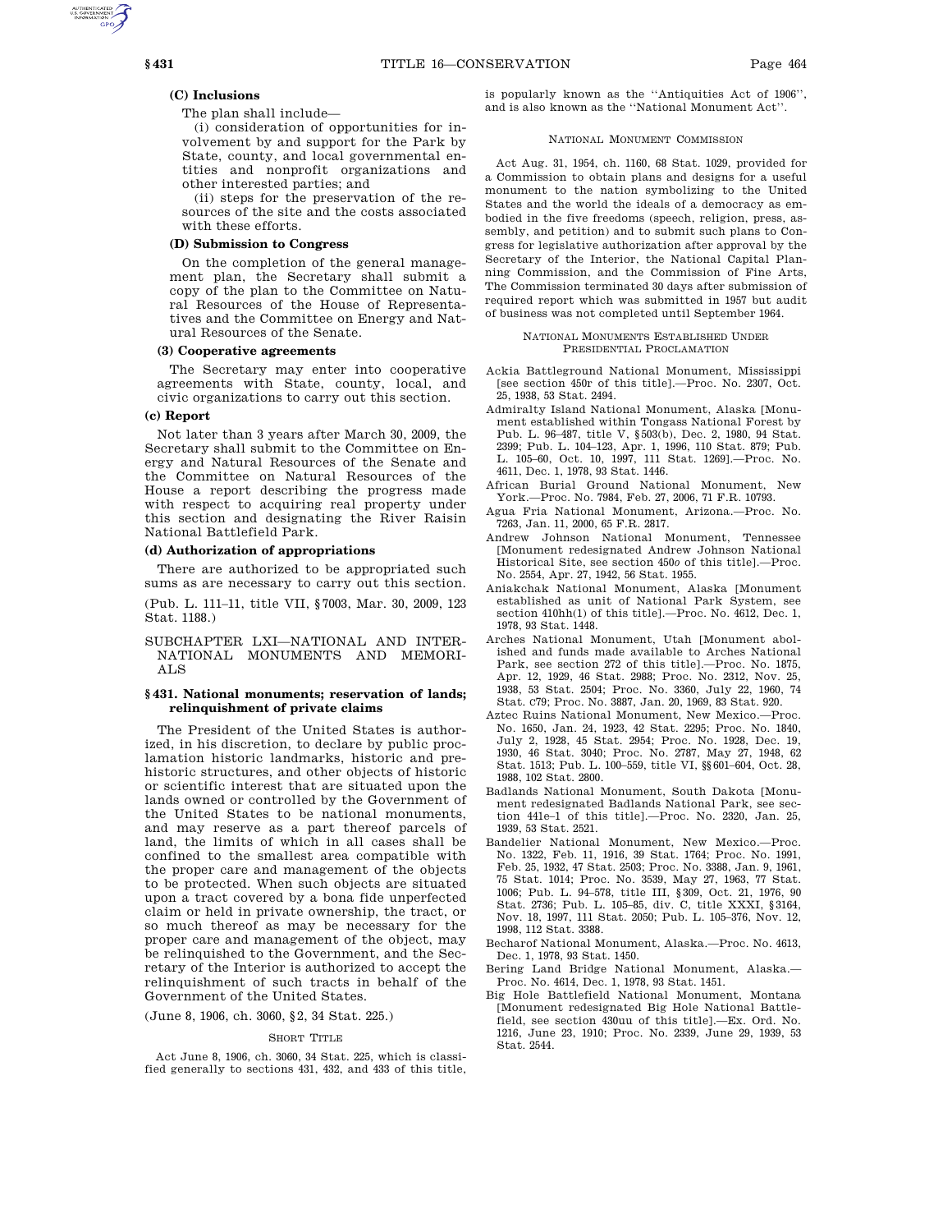### **(C) Inclusions**

The plan shall include—

(i) consideration of opportunities for involvement by and support for the Park by State, county, and local governmental entities and nonprofit organizations and other interested parties; and

(ii) steps for the preservation of the resources of the site and the costs associated with these efforts.

# **(D) Submission to Congress**

On the completion of the general management plan, the Secretary shall submit a copy of the plan to the Committee on Natural Resources of the House of Representatives and the Committee on Energy and Natural Resources of the Senate.

### **(3) Cooperative agreements**

The Secretary may enter into cooperative agreements with State, county, local, and civic organizations to carry out this section.

#### **(c) Report**

Not later than 3 years after March 30, 2009, the Secretary shall submit to the Committee on Energy and Natural Resources of the Senate and the Committee on Natural Resources of the House a report describing the progress made with respect to acquiring real property under this section and designating the River Raisin National Battlefield Park.

#### **(d) Authorization of appropriations**

There are authorized to be appropriated such sums as are necessary to carry out this section.

(Pub. L. 111–11, title VII, §7003, Mar. 30, 2009, 123 Stat. 1188.)

SUBCHAPTER LXI—NATIONAL AND INTER-NATIONAL MONUMENTS AND MEMORI-ALS

## **§ 431. National monuments; reservation of lands; relinquishment of private claims**

The President of the United States is authorized, in his discretion, to declare by public proclamation historic landmarks, historic and prehistoric structures, and other objects of historic or scientific interest that are situated upon the lands owned or controlled by the Government of the United States to be national monuments, and may reserve as a part thereof parcels of land, the limits of which in all cases shall be confined to the smallest area compatible with the proper care and management of the objects to be protected. When such objects are situated upon a tract covered by a bona fide unperfected claim or held in private ownership, the tract, or so much thereof as may be necessary for the proper care and management of the object, may be relinquished to the Government, and the Secretary of the Interior is authorized to accept the relinquishment of such tracts in behalf of the Government of the United States.

(June 8, 1906, ch. 3060, §2, 34 Stat. 225.)

#### SHORT TITLE

Act June 8, 1906, ch. 3060, 34 Stat. 225, which is classified generally to sections 431, 432, and 433 of this title, is popularly known as the ''Antiquities Act of 1906'', and is also known as the ''National Monument Act''.

### NATIONAL MONUMENT COMMISSION

Act Aug. 31, 1954, ch. 1160, 68 Stat. 1029, provided for a Commission to obtain plans and designs for a useful monument to the nation symbolizing to the United States and the world the ideals of a democracy as embodied in the five freedoms (speech, religion, press, assembly, and petition) and to submit such plans to Congress for legislative authorization after approval by the Secretary of the Interior, the National Capital Planning Commission, and the Commission of Fine Arts, The Commission terminated 30 days after submission of required report which was submitted in 1957 but audit of business was not completed until September 1964.

### NATIONAL MONUMENTS ESTABLISHED UNDER PRESIDENTIAL PROCLAMATION

- Ackia Battleground National Monument, Mississippi [see section 450r of this title].—Proc. No. 2307, Oct. 25, 1938, 53 Stat. 2494.
- Admiralty Island National Monument, Alaska [Monument established within Tongass National Forest by Pub. L. 96–487, title V, §503(b), Dec. 2, 1980, 94 Stat. 2399; Pub. L. 104–123, Apr. 1, 1996, 110 Stat. 879; Pub. L. 105–60, Oct. 10, 1997, 111 Stat. 1269].—Proc. No. 4611, Dec. 1, 1978, 93 Stat. 1446.
- African Burial Ground National Monument, New York.—Proc. No. 7984, Feb. 27, 2006, 71 F.R. 10793.
- Agua Fria National Monument, Arizona.—Proc. No. 7263, Jan. 11, 2000, 65 F.R. 2817.
- Andrew Johnson National Monument, Tennessee [Monument redesignated Andrew Johnson National Historical Site, see section 450*o* of this title].—Proc. No. 2554, Apr. 27, 1942, 56 Stat. 1955.
- Aniakchak National Monument, Alaska [Monument established as unit of National Park System, see section  $410hh(1)$  of this title].—Proc. No. 4612, Dec. 1, 1978, 93 Stat. 1448.
- Arches National Monument, Utah [Monument abolished and funds made available to Arches National Park, see section 272 of this title].—Proc. No. 1875, Apr. 12, 1929, 46 Stat. 2988; Proc. No. 2312, Nov. 25, 1938, 53 Stat. 2504; Proc. No. 3360, July 22, 1960, 74 Stat. C79; Proc. No. 3887, Jan. 20, 1969, 83 Stat. 920.
- Aztec Ruins National Monument, New Mexico.—Proc. No. 1650, Jan. 24, 1923, 42 Stat. 2295; Proc. No. 1840, July 2, 1928, 45 Stat. 2954; Proc. No. 1928, Dec. 19, 1930, 46 Stat. 3040; Proc. No. 2787, May 27, 1948, 62 Stat. 1513; Pub. L. 100–559, title VI, §§601–604, Oct. 28, 1988, 102 Stat. 2800.
- Badlands National Monument, South Dakota [Monument redesignated Badlands National Park, see section 441e–1 of this title].—Proc. No. 2320, Jan. 25, 1939, 53 Stat. 2521.
- Bandelier National Monument, New Mexico.—Proc. No. 1322, Feb. 11, 1916, 39 Stat. 1764; Proc. No. 1991, Feb. 25, 1932, 47 Stat. 2503; Proc. No. 3388, Jan. 9, 1961, 75 Stat. 1014; Proc. No. 3539, May 27, 1963, 77 Stat. 1006; Pub. L. 94–578, title III, §309, Oct. 21, 1976, 90 Stat. 2736; Pub. L. 105–85, div. C, title XXXI, §3164, Nov. 18, 1997, 111 Stat. 2050; Pub. L. 105–376, Nov. 12, 1998, 112 Stat. 3388.
- Becharof National Monument, Alaska.—Proc. No. 4613, Dec. 1, 1978, 93 Stat. 1450.
- Bering Land Bridge National Monument, Alaska.— Proc. No. 4614, Dec. 1, 1978, 93 Stat. 1451.
- Big Hole Battlefield National Monument, Montana [Monument redesignated Big Hole National Battlefield, see section 430uu of this title].—Ex. Ord. No. 1216, June 23, 1910; Proc. No. 2339, June 29, 1939, 53 Stat. 2544.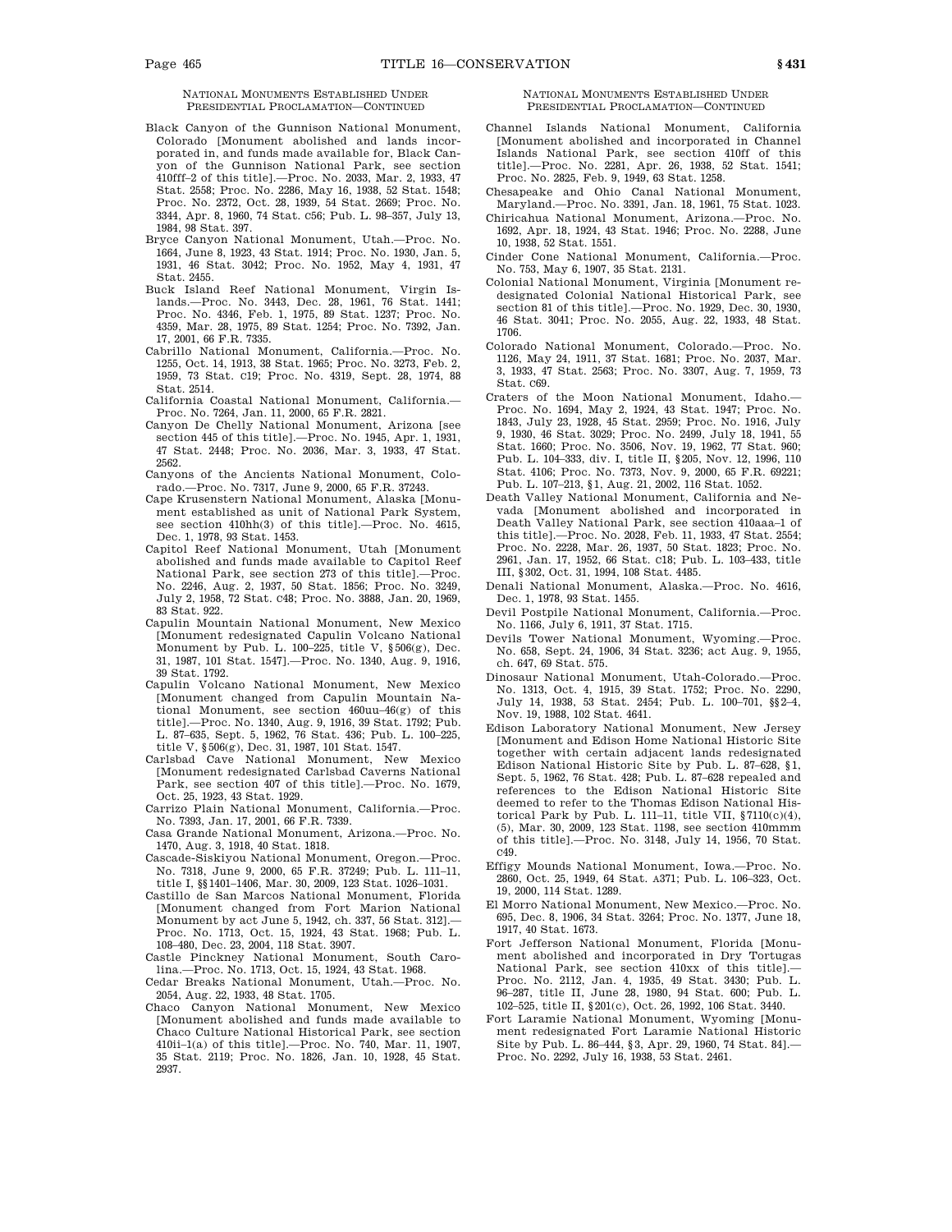NATIONAL MONUMENTS ESTABLISHED UNDER PRESIDENTIAL PROCLAMATION—CONTINUED

- Black Canyon of the Gunnison National Monument, Colorado [Monument abolished and lands incorporated in, and funds made available for, Black Canyon of the Gunnison National Park, see section 410fff–2 of this title].—Proc. No. 2033, Mar. 2, 1933, 47 Stat. 2558; Proc. No. 2286, May 16, 1938, 52 Stat. 1548; Proc. No. 2372, Oct. 28, 1939, 54 Stat. 2669; Proc. No. 3344, Apr. 8, 1960, 74 Stat. C56; Pub. L. 98–357, July 13, 1984, 98 Stat. 397.
- Bryce Canyon National Monument, Utah.—Proc. No. 1664, June 8, 1923, 43 Stat. 1914; Proc. No. 1930, Jan. 5, 1931, 46 Stat. 3042; Proc. No. 1952, May 4, 1931, 47 Stat. 2455.
- Buck Island Reef National Monument, Virgin Islands.—Proc. No. 3443, Dec. 28, 1961, 76 Stat. 1441; Proc. No. 4346, Feb. 1, 1975, 89 Stat. 1237; Proc. No. 4359, Mar. 28, 1975, 89 Stat. 1254; Proc. No. 7392, Jan. 17, 2001, 66 F.R. 7335.
- Cabrillo National Monument, California.—Proc. No. 1255, Oct. 14, 1913, 38 Stat. 1965; Proc. No. 3273, Feb. 2, 1959, 73 Stat. C19; Proc. No. 4319, Sept. 28, 1974, 88 Stat. 2514.
- California Coastal National Monument, California.— Proc. No. 7264, Jan. 11, 2000, 65 F.R. 2821.
- Canyon De Chelly National Monument, Arizona [see section 445 of this title].—Proc. No. 1945, Apr. 1, 1931, 47 Stat. 2448; Proc. No. 2036, Mar. 3, 1933, 47 Stat. 2562.
- Canyons of the Ancients National Monument, Colorado.—Proc. No. 7317, June 9, 2000, 65 F.R. 37243.
- Cape Krusenstern National Monument, Alaska [Monument established as unit of National Park System, see section 410hh(3) of this title].—Proc. No. 4615, Dec. 1, 1978, 93 Stat. 1453.
- Capitol Reef National Monument, Utah [Monument abolished and funds made available to Capitol Reef National Park, see section 273 of this title].—Proc. No. 2246, Aug. 2, 1937, 50 Stat. 1856; Proc. No. 3249, July 2, 1958, 72 Stat. C48; Proc. No. 3888, Jan. 20, 1969, 83 Stat. 922.
- Capulin Mountain National Monument, New Mexico [Monument redesignated Capulin Volcano National Monument by Pub. L. 100–225, title V, §506(g), Dec. 31, 1987, 101 Stat. 1547].—Proc. No. 1340, Aug. 9, 1916, 39 Stat. 1792.
- Capulin Volcano National Monument, New Mexico [Monument changed from Capulin Mountain National Monument, see section 460uu–46(g) of this title].—Proc. No. 1340, Aug. 9, 1916, 39 Stat. 1792; Pub. L. 87–635, Sept. 5, 1962, 76 Stat. 436; Pub. L. 100–225, title V, §506(g), Dec. 31, 1987, 101 Stat. 1547.
- Carlsbad Cave National Monument, New Mexico [Monument redesignated Carlsbad Caverns National Park, see section 407 of this title].—Proc. No. 1679, Oct. 25, 1923, 43 Stat. 1929.
- Carrizo Plain National Monument, California.—Proc. No. 7393, Jan. 17, 2001, 66 F.R. 7339.
- Casa Grande National Monument, Arizona.—Proc. No. 1470, Aug. 3, 1918, 40 Stat. 1818.
- Cascade-Siskiyou National Monument, Oregon.—Proc. No. 7318, June 9, 2000, 65 F.R. 37249; Pub. L. 111–11, title I, §§1401–1406, Mar. 30, 2009, 123 Stat. 1026–1031.
- Castillo de San Marcos National Monument, Florida [Monument changed from Fort Marion National Monument by act June 5, 1942, ch. 337, 56 Stat. 312].— Proc. No. 1713, Oct. 15, 1924, 43 Stat. 1968; Pub. L. 108–480, Dec. 23, 2004, 118 Stat. 3907.
- Castle Pinckney National Monument, South Carolina.—Proc. No. 1713, Oct. 15, 1924, 43 Stat. 1968.
- Cedar Breaks National Monument, Utah.—Proc. No. 2054, Aug. 22, 1933, 48 Stat. 1705.
- Chaco Canyon National Monument, New Mexico [Monument abolished and funds made available to Chaco Culture National Historical Park, see section 410ii–1(a) of this title].—Proc. No. 740, Mar. 11, 1907, 35 Stat. 2119; Proc. No. 1826, Jan. 10, 1928, 45 Stat. 2937.

### NATIONAL MONUMENTS ESTABLISHED UNDER PRESIDENTIAL PROCLAMATION—CONTINUED

- Channel Islands National Monument, California [Monument abolished and incorporated in Channel Islands National Park, see section 410ff of this title].—Proc. No. 2281, Apr. 26, 1938, 52 Stat. 1541; Proc. No. 2825, Feb. 9, 1949, 63 Stat. 1258.
- Chesapeake and Ohio Canal National Monument, Maryland.—Proc. No. 3391, Jan. 18, 1961, 75 Stat. 1023.
- Chiricahua National Monument, Arizona.—Proc. No. 1692, Apr. 18, 1924, 43 Stat. 1946; Proc. No. 2288, June 10, 1938, 52 Stat. 1551.
- Cinder Cone National Monument, California.—Proc. No. 753, May 6, 1907, 35 Stat. 2131.
- Colonial National Monument, Virginia [Monument redesignated Colonial National Historical Park, see section 81 of this title].—Proc. No. 1929, Dec. 30, 1930, 46 Stat. 3041; Proc. No. 2055, Aug. 22, 1933, 48 Stat. 1706.
- Colorado National Monument, Colorado.—Proc. No. 1126, May 24, 1911, 37 Stat. 1681; Proc. No. 2037, Mar. 3, 1933, 47 Stat. 2563; Proc. No. 3307, Aug. 7, 1959, 73 Stat. C69.
- Craters of the Moon National Monument, Idaho.— Proc. No. 1694, May 2, 1924, 43 Stat. 1947; Proc. No. 1843, July 23, 1928, 45 Stat. 2959; Proc. No. 1916, July 9, 1930, 46 Stat. 3029; Proc. No. 2499, July 18, 1941, 55 Stat. 1660; Proc. No. 3506, Nov. 19, 1962, 77 Stat. 960; Pub. L. 104–333, div. I, title II, §205, Nov. 12, 1996, 110 Stat. 4106; Proc. No. 7373, Nov. 9, 2000, 65 F.R. 69221; Pub. L. 107–213, §1, Aug. 21, 2002, 116 Stat. 1052.
- Death Valley National Monument, California and Nevada [Monument abolished and incorporated in Death Valley National Park, see section 410aaa–1 of this title].—Proc. No. 2028, Feb. 11, 1933, 47 Stat. 2554; Proc. No. 2228, Mar. 26, 1937, 50 Stat. 1823; Proc. No. 2961, Jan. 17, 1952, 66 Stat. C18; Pub. L. 103–433, title III, §302, Oct. 31, 1994, 108 Stat. 4485.
- Denali National Monument, Alaska.—Proc. No. 4616, Dec. 1, 1978, 93 Stat. 1455.
- Devil Postpile National Monument, California.—Proc. No. 1166, July 6, 1911, 37 Stat. 1715.
- Devils Tower National Monument, Wyoming.—Proc. No. 658, Sept. 24, 1906, 34 Stat. 3236; act Aug. 9, 1955, ch. 647, 69 Stat. 575.
- Dinosaur National Monument, Utah-Colorado.—Proc. No. 1313, Oct. 4, 1915, 39 Stat. 1752; Proc. No. 2290, July 14, 1938, 53 Stat. 2454; Pub. L. 100–701, §§2–4, Nov. 19, 1988, 102 Stat. 4641.
- Edison Laboratory National Monument, New Jersey [Monument and Edison Home National Historic Site together with certain adjacent lands redesignated Edison National Historic Site by Pub. L. 87–628, §1, Sept. 5, 1962, 76 Stat. 428; Pub. L. 87–628 repealed and references to the Edison National Historic Site deemed to refer to the Thomas Edison National Historical Park by Pub. L. 111-11, title VII,  $\S7110(c)(4)$ , (5), Mar. 30, 2009, 123 Stat. 1198, see section 410mmm of this title].—Proc. No. 3148, July 14, 1956, 70 Stat. C49.
- Effigy Mounds National Monument, Iowa.—Proc. No. 2860, Oct. 25, 1949, 64 Stat. A371; Pub. L. 106–323, Oct. 19, 2000, 114 Stat. 1289.
- El Morro National Monument, New Mexico.—Proc. No. 695, Dec. 8, 1906, 34 Stat. 3264; Proc. No. 1377, June 18, 1917, 40 Stat. 1673.
- Fort Jefferson National Monument, Florida [Monument abolished and incorporated in Dry Tortugas National Park, see section 410xx of this title].— Proc. No. 2112, Jan. 4, 1935, 49 Stat. 3430; Pub. L. 96–287, title II, June 28, 1980, 94 Stat. 600; Pub. L. 102–525, title II, §201(c), Oct. 26, 1992, 106 Stat. 3440.
- Fort Laramie National Monument, Wyoming [Monument redesignated Fort Laramie National Historic Site by Pub. L. 86–444, §3, Apr. 29, 1960, 74 Stat. 84].— Proc. No. 2292, July 16, 1938, 53 Stat. 2461.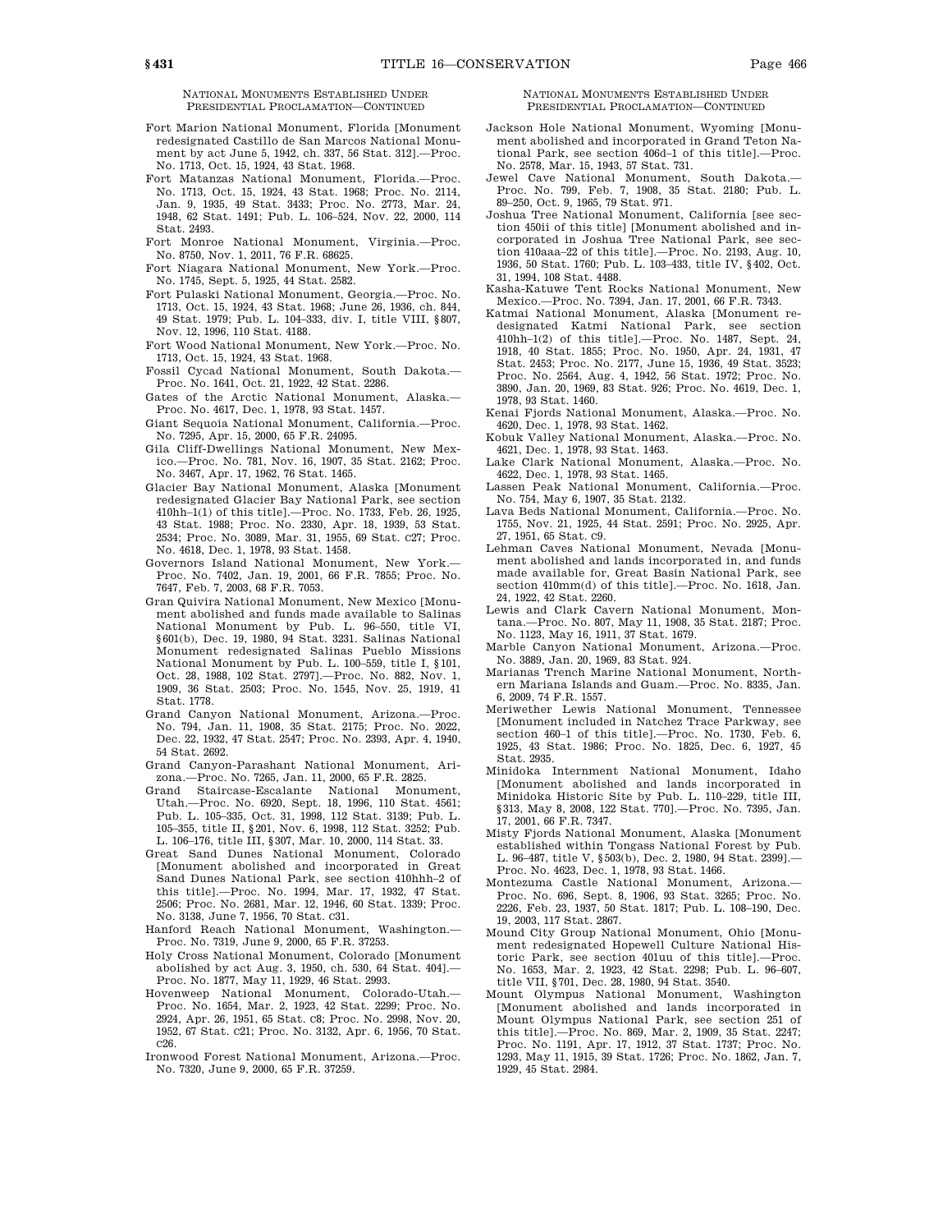NATIONAL MONUMENTS ESTABLISHED UNDER PRESIDENTIAL PROCLAMATION—CONTINUED

- Fort Marion National Monument, Florida [Monument redesignated Castillo de San Marcos National Monument by act June 5, 1942, ch. 337, 56 Stat. 312].—Proc. No. 1713, Oct. 15, 1924, 43 Stat. 1968.
- Fort Matanzas National Monument, Florida.—Proc. No. 1713, Oct. 15, 1924, 43 Stat. 1968; Proc. No. 2114, Jan. 9, 1935, 49 Stat. 3433; Proc. No. 2773, Mar. 24, 1948, 62 Stat. 1491; Pub. L. 106–524, Nov. 22, 2000, 114 Stat. 2493.
- Fort Monroe National Monument, Virginia.—Proc. No. 8750, Nov. 1, 2011, 76 F.R. 68625.
- Fort Niagara National Monument, New York.—Proc. No. 1745, Sept. 5, 1925, 44 Stat. 2582.
- Fort Pulaski National Monument, Georgia.—Proc. No. 1713, Oct. 15, 1924, 43 Stat. 1968; June 26, 1936, ch. 844, 49 Stat. 1979; Pub. L. 104–333, div. I, title VIII, §807, Nov. 12, 1996, 110 Stat. 4188.
- Fort Wood National Monument, New York.—Proc. No. 1713, Oct. 15, 1924, 43 Stat. 1968.
- Fossil Cycad National Monument, South Dakota.— Proc. No. 1641, Oct. 21, 1922, 42 Stat. 2286.
- Gates of the Arctic National Monument, Alaska.— Proc. No. 4617, Dec. 1, 1978, 93 Stat. 1457.
- Giant Sequoia National Monument, California.—Proc. No. 7295, Apr. 15, 2000, 65 F.R. 24095.
- Gila Cliff-Dwellings National Monument, New Mexico.—Proc. No. 781, Nov. 16, 1907, 35 Stat. 2162; Proc. No. 3467, Apr. 17, 1962, 76 Stat. 1465.
- Glacier Bay National Monument, Alaska [Monument redesignated Glacier Bay National Park, see section 410hh–1(1) of this title].—Proc. No. 1733, Feb. 26, 1925, 43 Stat. 1988; Proc. No. 2330, Apr. 18, 1939, 53 Stat. 2534; Proc. No. 3089, Mar. 31, 1955, 69 Stat. C27; Proc. No. 4618, Dec. 1, 1978, 93 Stat. 1458.
- Governors Island National Monument, New York.— Proc. No. 7402, Jan. 19, 2001, 66 F.R. 7855; Proc. No. 7647, Feb. 7, 2003, 68 F.R. 7053.
- Gran Quivira National Monument, New Mexico [Monument abolished and funds made available to Salinas National Monument by Pub. L. 96–550, title VI, §601(b), Dec. 19, 1980, 94 Stat. 3231. Salinas National Monument redesignated Salinas Pueblo Missions National Monument by Pub. L. 100–559, title I, §101, Oct. 28, 1988, 102 Stat. 2797].—Proc. No. 882, Nov. 1, 1909, 36 Stat. 2503; Proc. No. 1545, Nov. 25, 1919, 41 Stat. 1778.
- Grand Canyon National Monument, Arizona.—Proc. No. 794, Jan. 11, 1908, 35 Stat. 2175; Proc. No. 2022, Dec. 22, 1932, 47 Stat. 2547; Proc. No. 2393, Apr. 4, 1940, 54 Stat. 2692.
- Grand Canyon-Parashant National Monument, Arizona.—Proc. No. 7265, Jan. 11, 2000, 65 F.R. 2825.
- Grand Staircase-Escalante National Monument, Utah.—Proc. No. 6920, Sept. 18, 1996, 110 Stat. 4561; Pub. L. 105–335, Oct. 31, 1998, 112 Stat. 3139; Pub. L. 105–355, title II, §201, Nov. 6, 1998, 112 Stat. 3252; Pub. L. 106–176, title III, §307, Mar. 10, 2000, 114 Stat. 33.
- Great Sand Dunes National Monument, Colorado [Monument abolished and incorporated in Great Sand Dunes National Park, see section 410hhh–2 of this title].—Proc. No. 1994, Mar. 17, 1932, 47 Stat. 2506; Proc. No. 2681, Mar. 12, 1946, 60 Stat. 1339; Proc. No. 3138, June 7, 1956, 70 Stat. C31.
- Hanford Reach National Monument, Washington.— Proc. No. 7319, June 9, 2000, 65 F.R. 37253.
- Holy Cross National Monument, Colorado [Monument abolished by act Aug. 3, 1950, ch. 530, 64 Stat. 404].— Proc. No. 1877, May 11, 1929, 46 Stat. 2993.
- Hovenweep National Monument, Colorado-Utah.— Proc. No. 1654, Mar. 2, 1923, 42 Stat. 2299; Proc. No. 2924, Apr. 26, 1951, 65 Stat. C8; Proc. No. 2998, Nov. 20, 1952, 67 Stat. C21; Proc. No. 3132, Apr. 6, 1956, 70 Stat. C26.
- Ironwood Forest National Monument, Arizona.—Proc. No. 7320, June 9, 2000, 65 F.R. 37259.

## NATIONAL MONUMENTS ESTABLISHED UNDER PRESIDENTIAL PROCLAMATION—CONTINUED

- Jackson Hole National Monument, Wyoming [Monument abolished and incorporated in Grand Teton National Park, see section 406d–1 of this title].—Proc. No. 2578, Mar. 15, 1943, 57 Stat. 731.
- Jewel Cave National Monument, South Dakota.— Proc. No. 799, Feb. 7, 1908, 35 Stat. 2180; Pub. L. 89–250, Oct. 9, 1965, 79 Stat. 971.
- Joshua Tree National Monument, California [see section 450ii of this title] [Monument abolished and incorporated in Joshua Tree National Park, see section 410aaa–22 of this title].—Proc. No. 2193, Aug. 10, 1936, 50 Stat. 1760; Pub. L. 103–433, title IV, §402, Oct. 31, 1994, 108 Stat. 4488.
- Kasha-Katuwe Tent Rocks National Monument, New Mexico.—Proc. No. 7394, Jan. 17, 2001, 66 F.R. 7343.
- Katmai National Monument, Alaska [Monument redesignated Katmi National Park, see section 410hh–1(2) of this title].—Proc. No. 1487, Sept. 24, 1918, 40 Stat. 1855; Proc. No. 1950, Apr. 24, 1931, 47 Stat. 2453; Proc. No. 2177, June 15, 1936, 49 Stat. 3523; Proc. No. 2564, Aug. 4, 1942, 56 Stat. 1972; Proc. No. 3890, Jan. 20, 1969, 83 Stat. 926; Proc. No. 4619, Dec. 1, 1978, 93 Stat. 1460.
- Kenai Fjords National Monument, Alaska.—Proc. No. 4620, Dec. 1, 1978, 93 Stat. 1462.
- Kobuk Valley National Monument, Alaska.—Proc. No. 4621, Dec. 1, 1978, 93 Stat. 1463.
- Lake Clark National Monument, Alaska.—Proc. No. 4622, Dec. 1, 1978, 93 Stat. 1465.
- Lassen Peak National Monument, California.—Proc. No. 754, May 6, 1907, 35 Stat. 2132.
- Lava Beds National Monument, California.—Proc. No. 1755, Nov. 21, 1925, 44 Stat. 2591; Proc. No. 2925, Apr. 27, 1951, 65 Stat. C9.
- Lehman Caves National Monument, Nevada [Monument abolished and lands incorporated in, and funds made available for, Great Basin National Park, see section 410mm(d) of this title].—Proc. No. 1618, Jan. 24, 1922, 42 Stat. 2260.
- Lewis and Clark Cavern National Monument, Montana.—Proc. No. 807, May 11, 1908, 35 Stat. 2187; Proc. No. 1123, May 16, 1911, 37 Stat. 1679.
- Marble Canyon National Monument, Arizona.—Proc. No. 3889, Jan. 20, 1969, 83 Stat. 924.
- Marianas Trench Marine National Monument, Northern Mariana Islands and Guam.—Proc. No. 8335, Jan. 6, 2009, 74 F.R. 1557.
- Meriwether Lewis National Monument, Tennessee [Monument included in Natchez Trace Parkway, see section 460-1 of this title].—Proc. No. 1730, Feb. 6 1925, 43 Stat. 1986; Proc. No. 1825, Dec. 6, 1927, 45 Stat. 2935.
- Minidoka Internment National Monument, Idaho [Monument abolished and lands incorporated in Minidoka Historic Site by Pub. L. 110–229, title III, §313, May 8, 2008, 122 Stat. 770].—Proc. No. 7395, Jan. 17, 2001, 66 F.R. 7347.
- Misty Fjords National Monument, Alaska [Monument established within Tongass National Forest by Pub. L. 96–487, title V, §503(b), Dec. 2, 1980, 94 Stat. 2399].— Proc. No. 4623, Dec. 1, 1978, 93 Stat. 1466.
- Montezuma Castle National Monument, Arizona.— Proc. No. 696, Sept. 8, 1906, 93 Stat. 3265; Proc. No. 2226, Feb. 23, 1937, 50 Stat. 1817; Pub. L. 108–190, Dec. 19, 2003, 117 Stat. 2867.
- Mound City Group National Monument, Ohio [Monument redesignated Hopewell Culture National Historic Park, see section 401uu of this title].—Proc. No. 1653, Mar. 2, 1923, 42 Stat. 2298; Pub. L. 96–607, title VII, §701, Dec. 28, 1980, 94 Stat. 3540.
- Mount Olympus National Monument, Washington [Monument abolished and lands incorporated in Mount Olympus National Park, see section 251 of this title].—Proc. No. 869, Mar. 2, 1909, 35 Stat. 2247; Proc. No. 1191, Apr. 17, 1912, 37 Stat. 1737; Proc. No. 1293, May 11, 1915, 39 Stat. 1726; Proc. No. 1862, Jan. 7, 1929, 45 Stat. 2984.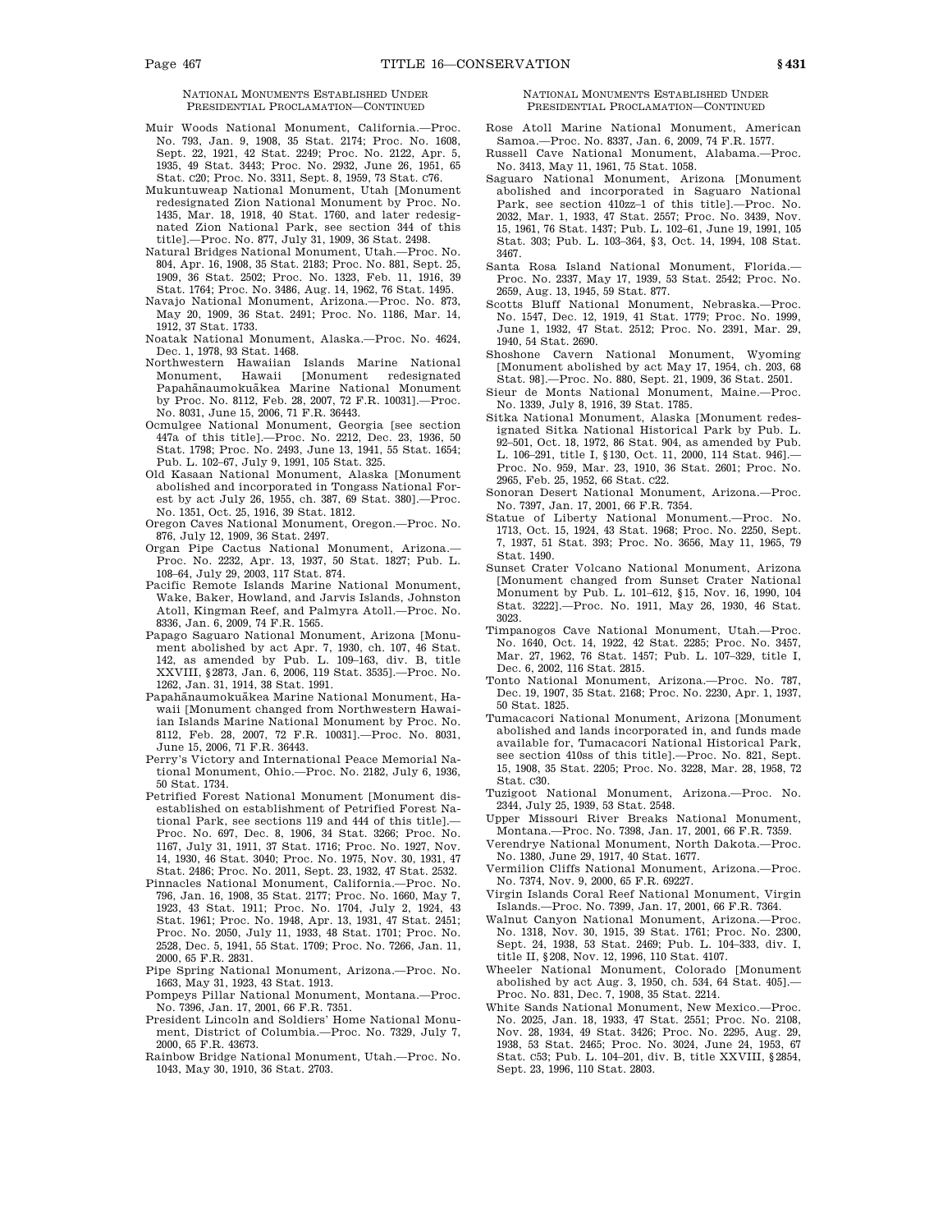NATIONAL MONUMENTS ESTABLISHED UNDER PRESIDENTIAL PROCLAMATION—CONTINUED

- Muir Woods National Monument, California.—Proc. No. 793, Jan. 9, 1908, 35 Stat. 2174; Proc. No. 1608, Sept. 22, 1921, 42 Stat. 2249; Proc. No. 2122, Apr. 5, 1935, 49 Stat. 3443; Proc. No. 2932, June 26, 1951, 65 Stat. C20; Proc. No. 3311, Sept. 8, 1959, 73 Stat. C76.
- Mukuntuweap National Monument, Utah [Monument redesignated Zion National Monument by Proc. No. 1435, Mar. 18, 1918, 40 Stat. 1760, and later redesignated Zion National Park, see section 344 of this title].—Proc. No. 877, July 31, 1909, 36 Stat. 2498.
- Natural Bridges National Monument, Utah.—Proc. No. 804, Apr. 16, 1908, 35 Stat. 2183; Proc. No. 881, Sept. 25, 1909, 36 Stat. 2502; Proc. No. 1323, Feb. 11, 1916, 39 Stat. 1764; Proc. No. 3486, Aug. 14, 1962, 76 Stat. 1495.
- Navajo National Monument, Arizona.—Proc. No. 873, May 20, 1909, 36 Stat. 2491; Proc. No. 1186, Mar. 14, 1912, 37 Stat. 1733.

Noatak National Monument, Alaska.—Proc. No. 4624, Dec. 1, 1978, 93 Stat. 1468.

- Northwestern Hawaiian Islands Marine National Monument, Hawaii [Monument redesignated Papahānaumokuākea Marine National Monument by Proc. No. 8112, Feb. 28, 2007, 72 F.R. 10031].—Proc. No. 8031, June 15, 2006, 71 F.R. 36443.
- Ocmulgee National Monument, Georgia [see section 447a of this title].—Proc. No. 2212, Dec. 23, 1936, 50 Stat. 1798; Proc. No. 2493, June 13, 1941, 55 Stat. 1654; Pub. L. 102–67, July 9, 1991, 105 Stat. 325.
- Old Kasaan National Monument, Alaska [Monument abolished and incorporated in Tongass National Forest by act July 26, 1955, ch. 387, 69 Stat. 380].—Proc. No. 1351, Oct. 25, 1916, 39 Stat. 1812.
- Oregon Caves National Monument, Oregon.—Proc. No. 876, July 12, 1909, 36 Stat. 2497.
- Organ Pipe Cactus National Monument, Arizona.— Proc. No. 2232, Apr. 13, 1937, 50 Stat. 1827; Pub. L. 108–64, July 29, 2003, 117 Stat. 874.
- Pacific Remote Islands Marine National Monument, Wake, Baker, Howland, and Jarvis Islands, Johnston Atoll, Kingman Reef, and Palmyra Atoll.—Proc. No. 8336, Jan. 6, 2009, 74 F.R. 1565.
- Papago Saguaro National Monument, Arizona [Monument abolished by act Apr. 7, 1930, ch. 107, 46 Stat. 142, as amended by Pub. L. 109–163, div. B, title XXVIII, §2873, Jan. 6, 2006, 119 Stat. 3535].—Proc. No. 1262, Jan. 31, 1914, 38 Stat. 1991.
- Papahānaumokuākea Marine National Monument, Hawaii [Monument changed from Northwestern Hawaiian Islands Marine National Monument by Proc. No. 8112, Feb. 28, 2007, 72 F.R. 10031].—Proc. No. 8031, June 15, 2006, 71 F.R. 36443.
- Perry's Victory and International Peace Memorial National Monument, Ohio.—Proc. No. 2182, July 6, 1936, 50 Stat. 1734.
- Petrified Forest National Monument [Monument disestablished on establishment of Petrified Forest National Park, see sections 119 and 444 of this title].— Proc. No. 697, Dec. 8, 1906, 34 Stat. 3266; Proc. No. 1167, July 31, 1911, 37 Stat. 1716; Proc. No. 1927, Nov. 14, 1930, 46 Stat. 3040; Proc. No. 1975, Nov. 30, 1931, 47 Stat. 2486; Proc. No. 2011, Sept. 23, 1932, 47 Stat. 2532.
- Pinnacles National Monument, California.—Proc. No. 796, Jan. 16, 1908, 35 Stat. 2177; Proc. No. 1660, May 7, 1923, 43 Stat. 1911; Proc. No. 1704, July 2, 1924, 43 Stat. 1961; Proc. No. 1948, Apr. 13, 1931, 47 Stat. 2451; Proc. No. 2050, July 11, 1933, 48 Stat. 1701; Proc. No. 2528, Dec. 5, 1941, 55 Stat. 1709; Proc. No. 7266, Jan. 11, 2000, 65 F.R. 2831.
- Pipe Spring National Monument, Arizona.—Proc. No. 1663, May 31, 1923, 43 Stat. 1913.
- Pompeys Pillar National Monument, Montana.—Proc. No. 7396, Jan. 17, 2001, 66 F.R. 7351.
- President Lincoln and Soldiers' Home National Monument, District of Columbia.—Proc. No. 7329, July 7, 2000, 65 F.R. 43673.
- Rainbow Bridge National Monument, Utah.—Proc. No. 1043, May 30, 1910, 36 Stat. 2703.

NATIONAL MONUMENTS ESTABLISHED UNDER PRESIDENTIAL PROCLAMATION—CONTINUED

- Rose Atoll Marine National Monument, American Samoa.—Proc. No. 8337, Jan. 6, 2009, 74 F.R. 1577.
- Russell Cave National Monument, Alabama.—Proc. No. 3413, May 11, 1961, 75 Stat. 1058.
- Saguaro National Monument, Arizona [Monument abolished and incorporated in Saguaro National Park, see section 410zz–1 of this title].—Proc. No. 2032, Mar. 1, 1933, 47 Stat. 2557; Proc. No. 3439, Nov. 15, 1961, 76 Stat. 1437; Pub. L. 102–61, June 19, 1991, 105 Stat. 303; Pub. L. 103–364, §3, Oct. 14, 1994, 108 Stat. 3467.
- Santa Rosa Island National Monument, Florida.— Proc. No. 2337, May 17, 1939, 53 Stat. 2542; Proc. No. 2659, Aug. 13, 1945, 59 Stat. 877.
- Scotts Bluff National Monument, Nebraska.—Proc. No. 1547, Dec. 12, 1919, 41 Stat. 1779; Proc. No. 1999, June 1, 1932, 47 Stat. 2512; Proc. No. 2391, Mar. 29, 1940, 54 Stat. 2690.
- Shoshone Cavern National Monument, Wyoming [Monument abolished by act May 17, 1954, ch. 203, 68 Stat. 98].—Proc. No. 880, Sept. 21, 1909, 36 Stat. 2501.
- Sieur de Monts National Monument, Maine.—Proc. No. 1339, July 8, 1916, 39 Stat. 1785.
- Sitka National Monument, Alaska [Monument redesignated Sitka National Historical Park by Pub. L. 92–501, Oct. 18, 1972, 86 Stat. 904, as amended by Pub. L. 106–291, title I, §130, Oct. 11, 2000, 114 Stat. 946].— Proc. No. 959, Mar. 23, 1910, 36 Stat. 2601; Proc. No. 2965, Feb. 25, 1952, 66 Stat. C22.
- Sonoran Desert National Monument, Arizona.—Proc. No. 7397, Jan. 17, 2001, 66 F.R. 7354.
- Statue of Liberty National Monument.—Proc. No. 1713, Oct. 15, 1924, 43 Stat. 1968; Proc. No. 2250, Sept. 7, 1937, 51 Stat. 393; Proc. No. 3656, May 11, 1965, 79 Stat. 1490.
- Sunset Crater Volcano National Monument, Arizona [Monument changed from Sunset Crater National Monument by Pub. L. 101–612, §15, Nov. 16, 1990, 104 Stat. 3222].—Proc. No. 1911, May 26, 1930, 46 Stat. 3023.
- Timpanogos Cave National Monument, Utah.—Proc. No. 1640, Oct. 14, 1922, 42 Stat. 2285; Proc. No. 3457, Mar. 27, 1962, 76 Stat. 1457; Pub. L. 107–329, title I, Dec. 6, 2002, 116 Stat. 2815.
- Tonto National Monument, Arizona.—Proc. No. 787, Dec. 19, 1907, 35 Stat. 2168; Proc. No. 2230, Apr. 1, 1937, 50 Stat. 1825.
- Tumacacori National Monument, Arizona [Monument abolished and lands incorporated in, and funds made available for, Tumacacori National Historical Park, see section 410ss of this title].—Proc. No. 821, Sept. 15, 1908, 35 Stat. 2205; Proc. No. 3228, Mar. 28, 1958, 72 Stat. C30.
- Tuzigoot National Monument, Arizona.—Proc. No. 2344, July 25, 1939, 53 Stat. 2548.
- Upper Missouri River Breaks National Monument, Montana.—Proc. No. 7398, Jan. 17, 2001, 66 F.R. 7359.
- Verendrye National Monument, North Dakota.—Proc. No. 1380, June 29, 1917, 40 Stat. 1677.
- Vermilion Cliffs National Monument, Arizona.—Proc. No. 7374, Nov. 9, 2000, 65 F.R. 69227.
- Virgin Islands Coral Reef National Monument, Virgin Islands.—Proc. No. 7399, Jan. 17, 2001, 66 F.R. 7364.
- Walnut Canyon National Monument, Arizona.—Proc. No. 1318, Nov. 30, 1915, 39 Stat. 1761; Proc. No. 2300, Sept. 24, 1938, 53 Stat. 2469; Pub. L. 104–333, div. I, title II, §208, Nov. 12, 1996, 110 Stat. 4107.
- Wheeler National Monument, Colorado [Monument abolished by act Aug. 3, 1950, ch. 534, 64 Stat. 405].— Proc. No. 831, Dec. 7, 1908, 35 Stat. 2214.
- White Sands National Monument, New Mexico.—Proc. No. 2025, Jan. 18, 1933, 47 Stat. 2551; Proc. No. 2108, Nov. 28, 1934, 49 Stat. 3426; Proc. No. 2295, Aug. 29, 1938, 53 Stat. 2465; Proc. No. 3024, June 24, 1953, 67 Stat. C53; Pub. L. 104–201, div. B, title XXVIII, §2854, Sept. 23, 1996, 110 Stat. 2803.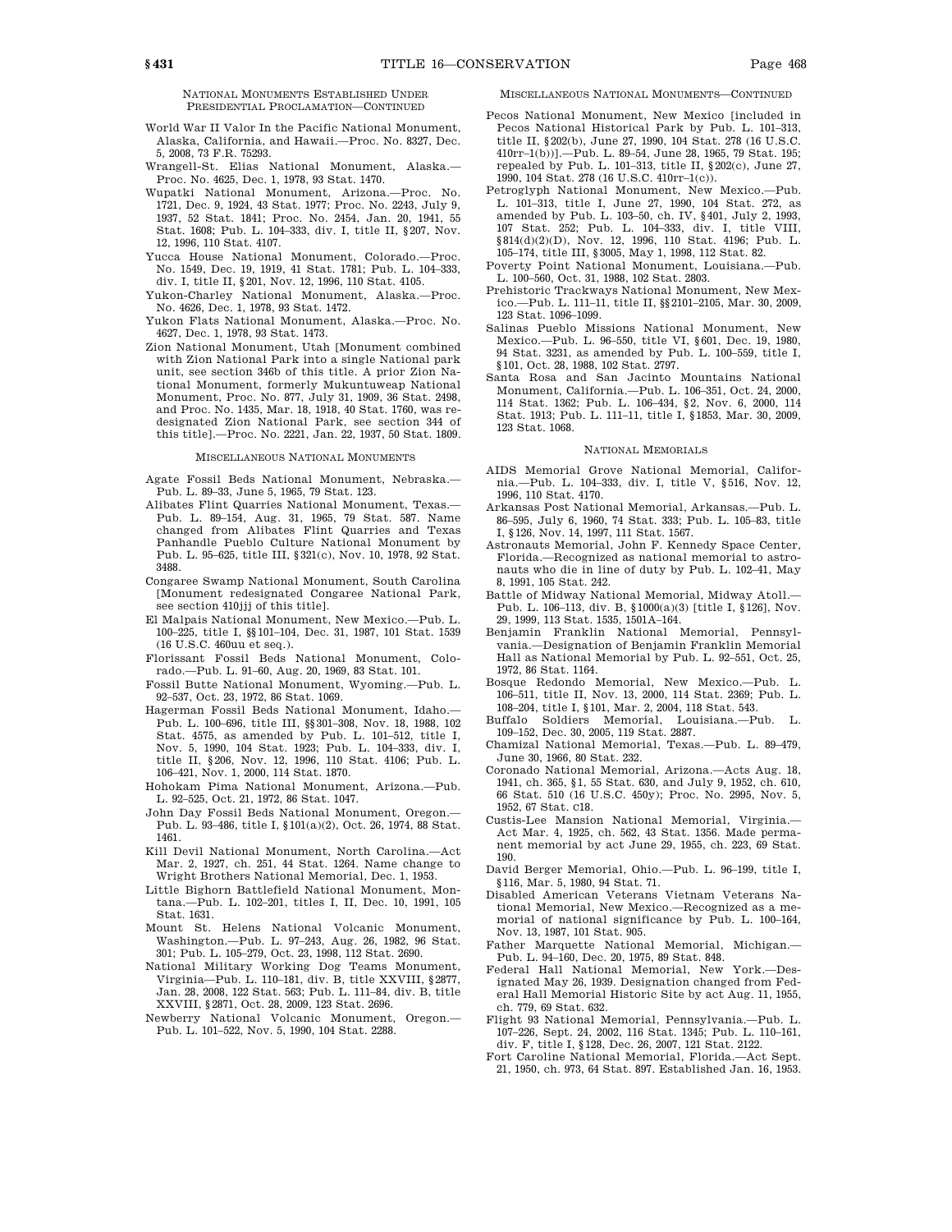- World War II Valor In the Pacific National Monument, Alaska, California, and Hawaii.—Proc. No. 8327, Dec. 5, 2008, 73 F.R. 75293.
- Wrangell-St. Elias National Monument, Alaska.— Proc. No. 4625, Dec. 1, 1978, 93 Stat. 1470.
- Wupatki National Monument, Arizona.-- Proc. 1721, Dec. 9, 1924, 43 Stat. 1977; Proc. No. 2243, July 9, 1937, 52 Stat. 1841; Proc. No. 2454, Jan. 20, 1941, 55 Stat. 1608; Pub. L. 104–333, div. I, title II, §207, Nov. 12, 1996, 110 Stat. 4107.
- Yucca House National Monument, Colorado.—Proc. No. 1549, Dec. 19, 1919, 41 Stat. 1781; Pub. L. 104–333, div. I, title II, §201, Nov. 12, 1996, 110 Stat. 4105.
- Yukon-Charley National Monument, Alaska.—Proc. No. 4626, Dec. 1, 1978, 93 Stat. 1472.
- Yukon Flats National Monument, Alaska.—Proc. No. 4627, Dec. 1, 1978, 93 Stat. 1473.
- Zion National Monument, Utah [Monument combined with Zion National Park into a single National park unit, see section 346b of this title. A prior Zion National Monument, formerly Mukuntuweap National Monument, Proc. No. 877, July 31, 1909, 36 Stat. 2498, and Proc. No. 1435, Mar. 18, 1918, 40 Stat. 1760, was redesignated Zion National Park, see section 344 of this title].—Proc. No. 2221, Jan. 22, 1937, 50 Stat. 1809.

#### MISCELLANEOUS NATIONAL MONUMENTS

- Agate Fossil Beds National Monument, Nebraska.— Pub. L. 89–33, June 5, 1965, 79 Stat. 123.
- Alibates Flint Quarries National Monument, Texas.— Pub. L. 89–154, Aug. 31, 1965, 79 Stat. 587. Name changed from Alibates Flint Quarries and Texas Panhandle Pueblo Culture National Monument by Pub. L. 95–625, title III, §321(c), Nov. 10, 1978, 92 Stat. 3488.
- Congaree Swamp National Monument, South Carolina [Monument redesignated Congaree National Park, see section 410jjj of this title].
- El Malpais National Monument, New Mexico.—Pub. L. 100–225, title I, §§101–104, Dec. 31, 1987, 101 Stat. 1539 (16 U.S.C. 460uu et seq.).
- Florissant Fossil Beds National Monument, Colorado.—Pub. L. 91–60, Aug. 20, 1969, 83 Stat. 101.
- Fossil Butte National Monument, Wyoming.—Pub. L. 92–537, Oct. 23, 1972, 86 Stat. 1069.
- Hagerman Fossil Beds National Monument, Idaho.— Pub. L. 100–696, title III, §§301–308, Nov. 18, 1988, 102 Stat. 4575, as amended by Pub. L. 101–512, title I, Nov. 5, 1990, 104 Stat. 1923; Pub. L. 104–333, div. I, title II, §206, Nov. 12, 1996, 110 Stat. 4106; Pub. L. 106–421, Nov. 1, 2000, 114 Stat. 1870.
- Hohokam Pima National Monument, Arizona.—Pub. L. 92–525, Oct. 21, 1972, 86 Stat. 1047.
- John Day Fossil Beds National Monument, Oregon.— Pub. L. 93–486, title I, §101(a)(2), Oct. 26, 1974, 88 Stat. 1461.
- Kill Devil National Monument, North Carolina.—Act Mar. 2, 1927, ch. 251, 44 Stat. 1264. Name change to Wright Brothers National Memorial, Dec. 1, 1953.
- Little Bighorn Battlefield National Monument, Montana.—Pub. L. 102–201, titles I, II, Dec. 10, 1991, 105 Stat. 1631.
- Mount St. Helens National Volcanic Monument, Washington.—Pub. L. 97–243, Aug. 26, 1982, 96 Stat. 301; Pub. L. 105–279, Oct. 23, 1998, 112 Stat. 2690.
- National Military Working Dog Teams Monument, Virginia—Pub. L. 110–181, div. B, title XXVIII, §2877, Jan. 28, 2008, 122 Stat. 563; Pub. L. 111–84, div. B, title XXVIII, §2871, Oct. 28, 2009, 123 Stat. 2696.
- Newberry National Volcanic Monument, Oregon.— Pub. L. 101–522, Nov. 5, 1990, 104 Stat. 2288.

#### MISCELLANEOUS NATIONAL MONUMENTS—CONTINUED

- Pecos National Monument, New Mexico [included in Pecos National Historical Park by Pub. L. 101–313, title II, §202(b), June 27, 1990, 104 Stat. 278 (16 U.S.C. 410rr–1(b))].—Pub. L. 89–54, June 28, 1965, 79 Stat. 195; repealed by Pub. L. 101–313, title II, §202(c), June 27, 1990, 104 Stat. 278 (16 U.S.C. 410rr–1(c)).
- Petroglyph National Monument, New Mexico.—Pub. L. 101–313, title I, June 27, 1990, 104 Stat. 272, as amended by Pub. L. 103–50, ch. IV, §401, July 2, 1993, 107 Stat. 252; Pub. L. 104–333, div. I, title VIII, §814(d)(2)(D), Nov. 12, 1996, 110 Stat. 4196; Pub. L. 105–174, title III, §3005, May 1, 1998, 112 Stat. 82.
- Poverty Point National Monument, Louisiana.—Pub. L. 100–560, Oct. 31, 1988, 102 Stat. 2803.
- Prehistoric Trackways National Monument, New Mexico.—Pub. L. 111–11, title II, §§2101–2105, Mar. 30, 2009, 123 Stat. 1096–1099.
- Salinas Pueblo Missions National Monument, New Mexico.—Pub. L. 96–550, title VI, §601, Dec. 19, 1980, 94 Stat. 3231, as amended by Pub. L. 100–559, title I, §101, Oct. 28, 1988, 102 Stat. 2797.
- Santa Rosa and San Jacinto Mountains National Monument, California.—Pub. L. 106–351, Oct. 24, 2000, 114 Stat. 1362; Pub. L. 106–434, §2, Nov. 6, 2000, 114 Stat. 1913; Pub. L. 111–11, title I, §1853, Mar. 30, 2009, 123 Stat. 1068.

#### NATIONAL MEMORIALS

- AIDS Memorial Grove National Memorial, California.—Pub. L. 104–333, div. I, title V, §516, Nov. 12, 1996, 110 Stat. 4170.
- Arkansas Post National Memorial, Arkansas.—Pub. L. 86–595, July 6, 1960, 74 Stat. 333; Pub. L. 105–83, title I, §126, Nov. 14, 1997, 111 Stat. 1567.
- Astronauts Memorial, John F. Kennedy Space Center, Florida.—Recognized as national memorial to astronauts who die in line of duty by Pub. L. 102–41, May 8, 1991, 105 Stat. 242.
- Battle of Midway National Memorial, Midway Atoll.— Pub. L. 106-113, div. B,  $$1000(a)(3)$  [title I,  $$126]$ , Nov. 29, 1999, 113 Stat. 1535, 1501A–164.
- Benjamin Franklin National Memorial, Pennsylvania.—Designation of Benjamin Franklin Memorial Hall as National Memorial by Pub. L. 92–551, Oct. 25, 1972, 86 Stat. 1164.
- Bosque Redondo Memorial, New Mexico.—Pub. L. 106–511, title II, Nov. 13, 2000, 114 Stat. 2369; Pub. L. 108–204, title I, §101, Mar. 2, 2004, 118 Stat. 543.
- Buffalo Soldiers Memorial, Louisiana.—Pub. L. 109–152, Dec. 30, 2005, 119 Stat. 2887.
- Chamizal National Memorial, Texas.—Pub. L. 89–479, June 30, 1966, 80 Stat. 232.
- Coronado National Memorial, Arizona.—Acts Aug. 18, 1941, ch. 365, §1, 55 Stat. 630, and July 9, 1952, ch. 610, 66 Stat. 510 (16 U.S.C. 450y); Proc. No. 2995, Nov. 5, 1952, 67 Stat. C18.
- Custis-Lee Mansion National Memorial, Virginia.— Act Mar. 4, 1925, ch. 562, 43 Stat. 1356. Made permanent memorial by act June 29, 1955, ch. 223, 69 Stat. 190.
- David Berger Memorial, Ohio.—Pub. L. 96–199, title I, §116, Mar. 5, 1980, 94 Stat. 71.
- Disabled American Veterans Vietnam Veterans National Memorial, New Mexico.—Recognized as a memorial of national significance by Pub. L. 100–164, Nov. 13, 1987, 101 Stat. 905.
- Father Marquette National Memorial, Michigan.— Pub. L. 94–160, Dec. 20, 1975, 89 Stat. 848.
- Federal Hall National Memorial, New York.—Designated May 26, 1939. Designation changed from Federal Hall Memorial Historic Site by act Aug. 11, 1955, ch. 779, 69 Stat. 632.
- Flight 93 National Memorial, Pennsylvania.—Pub. L. 107–226, Sept. 24, 2002, 116 Stat. 1345; Pub. L. 110–161, div. F, title I, §128, Dec. 26, 2007, 121 Stat. 2122.
- Fort Caroline National Memorial, Florida.—Act Sept. 21, 1950, ch. 973, 64 Stat. 897. Established Jan. 16, 1953.